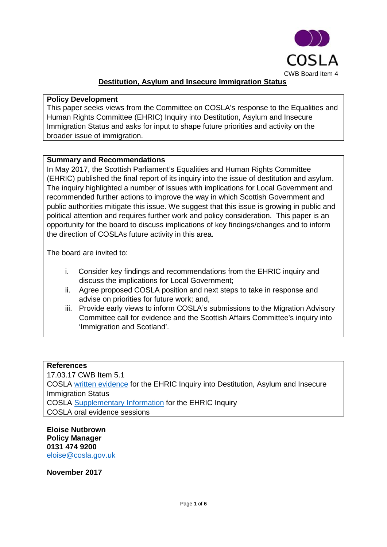

### **Destitution, Asylum and Insecure Immigration Status**

#### **Policy Development**

This paper seeks views from the Committee on COSLA's response to the Equalities and Human Rights Committee (EHRIC) Inquiry into Destitution, Asylum and Insecure Immigration Status and asks for input to shape future priorities and activity on the broader issue of immigration.

### **Summary and Recommendations**

In May 2017, the Scottish Parliament's Equalities and Human Rights Committee (EHRIC) published the final report of its inquiry into the issue of destitution and asylum. The inquiry highlighted a number of issues with implications for Local Government and recommended further actions to improve the way in which Scottish Government and public authorities mitigate this issue. We suggest that this issue is growing in public and political attention and requires further work and policy consideration. This paper is an opportunity for the board to discuss implications of key findings/changes and to inform the direction of COSLAs future activity in this area.

The board are invited to:

- i. Consider key findings and recommendations from the EHRIC inquiry and discuss the implications for Local Government;
- ii. Agree proposed COSLA position and next steps to take in response and advise on priorities for future work; and,
- iii. Provide early views to inform COSLA's submissions to the Migration Advisory Committee call for evidence and the Scottish Affairs Committee's inquiry into 'Immigration and Scotland'.

#### **References**

17.03.17 CWB Item 5.1 COSLA [written evidence](http://www.parliament.scot/S5_Equal_Opps/General%20Documents/COSLA_Response_to_EHR_Committee_on_Destitution_and_Asylum.pdf) for the EHRIC Inquiry into Destitution, Asylum and Insecure Immigration Status COSLA [Supplementary Information](http://www.parliament.scot/S5_Equal_Opps/General%20Documents/17-04-19_COSLA_Supplementary_Evidence_to_EHRiC_Inquiry_on_Destitution(1).pdf) for the EHRIC Inquiry COSLA oral evidence sessions

**Eloise Nutbrown Policy Manager 0131 474 9200** [eloise@cosla.gov.uk](mailto:eloise@cosla.gov.uk)

**November 2017**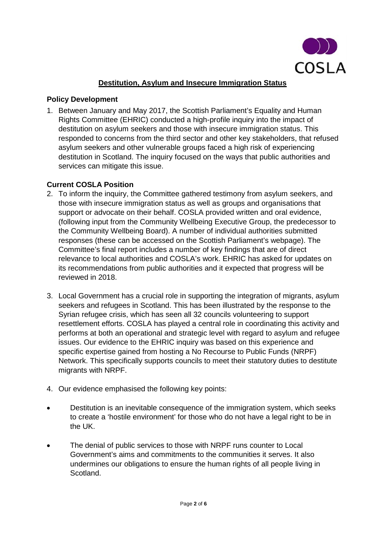

# **Destitution, Asylum and Insecure Immigration Status**

### **Policy Development**

1. Between January and May 2017, the Scottish Parliament's Equality and Human Rights Committee (EHRIC) conducted a high-profile inquiry into the impact of destitution on asylum seekers and those with insecure immigration status. This responded to concerns from the third sector and other key stakeholders, that refused asylum seekers and other vulnerable groups faced a high risk of experiencing destitution in Scotland. The inquiry focused on the ways that public authorities and services can mitigate this issue.

### **Current COSLA Position**

- 2. To inform the inquiry, the Committee gathered testimony from asylum seekers, and those with insecure immigration status as well as groups and organisations that support or advocate on their behalf. COSLA provided written and oral evidence, (following input from the Community Wellbeing Executive Group, the predecessor to the Community Wellbeing Board). A number of individual authorities submitted responses (these can be accessed on the Scottish Parliament's webpage). The Committee's final report includes a number of key findings that are of direct relevance to local authorities and COSLA's work. EHRIC has asked for updates on its recommendations from public authorities and it expected that progress will be reviewed in 2018.
- 3. Local Government has a crucial role in supporting the integration of migrants, asylum seekers and refugees in Scotland. This has been illustrated by the response to the Syrian refugee crisis, which has seen all 32 councils volunteering to support resettlement efforts. COSLA has played a central role in coordinating this activity and performs at both an operational and strategic level with regard to asylum and refugee issues. Our evidence to the EHRIC inquiry was based on this experience and specific expertise gained from hosting a No Recourse to Public Funds (NRPF) Network. This specifically supports councils to meet their statutory duties to destitute migrants with NRPF.
- 4. Our evidence emphasised the following key points:
- Destitution is an inevitable consequence of the immigration system, which seeks to create a 'hostile environment' for those who do not have a legal right to be in the UK.
- The denial of public services to those with NRPF runs counter to Local Government's aims and commitments to the communities it serves. It also undermines our obligations to ensure the human rights of all people living in Scotland.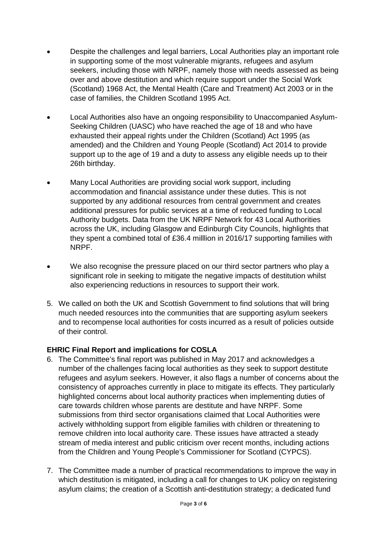- Despite the challenges and legal barriers, Local Authorities play an important role in supporting some of the most vulnerable migrants, refugees and asylum seekers, including those with NRPF, namely those with needs assessed as being over and above destitution and which require support under the Social Work (Scotland) 1968 Act, the Mental Health (Care and Treatment) Act 2003 or in the case of families, the Children Scotland 1995 Act.
- Local Authorities also have an ongoing responsibility to Unaccompanied Asylum-Seeking Children (UASC) who have reached the age of 18 and who have exhausted their appeal rights under the Children (Scotland) Act 1995 (as amended) and the Children and Young People (Scotland) Act 2014 to provide support up to the age of 19 and a duty to assess any eligible needs up to their 26th birthday.
- Many Local Authorities are providing social work support, including accommodation and financial assistance under these duties. This is not supported by any additional resources from central government and creates additional pressures for public services at a time of reduced funding to Local Authority budgets. Data from the UK NRPF Network for 43 Local Authorities across the UK, including Glasgow and Edinburgh City Councils, highlights that they spent a combined total of £36.4 milllion in 2016/17 supporting families with NRPF.
- We also recognise the pressure placed on our third sector partners who play a significant role in seeking to mitigate the negative impacts of destitution whilst also experiencing reductions in resources to support their work.
- 5. We called on both the UK and Scottish Government to find solutions that will bring much needed resources into the communities that are supporting asylum seekers and to recompense local authorities for costs incurred as a result of policies outside of their control.

# **EHRIC Final Report and implications for COSLA**

- 6. The Committee's final report was published in May 2017 and acknowledges a number of the challenges facing local authorities as they seek to support destitute refugees and asylum seekers. However, it also flags a number of concerns about the consistency of approaches currently in place to mitigate its effects. They particularly highlighted concerns about local authority practices when implementing duties of care towards children whose parents are destitute and have NRPF. Some submissions from third sector organisations claimed that Local Authorities were actively withholding support from eligible families with children or threatening to remove children into local authority care. These issues have attracted a steady stream of media interest and public criticism over recent months, including actions from the Children and Young People's Commissioner for Scotland (CYPCS).
- 7. The Committee made a number of practical recommendations to improve the way in which destitution is mitigated, including a call for changes to UK policy on registering asylum claims; the creation of a Scottish anti-destitution strategy; a dedicated fund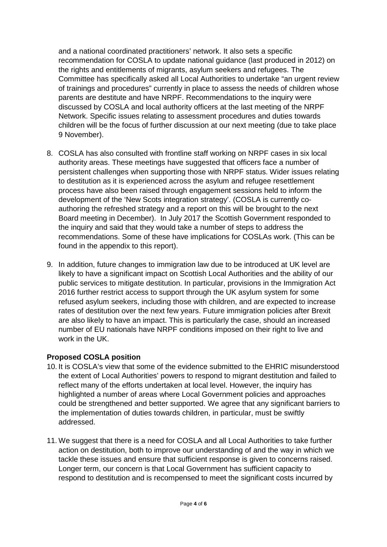and a national coordinated practitioners' network. It also sets a specific recommendation for COSLA to update national guidance (last produced in 2012) on the rights and entitlements of migrants, asylum seekers and refugees. The Committee has specifically asked all Local Authorities to undertake "an urgent review of trainings and procedures" currently in place to assess the needs of children whose parents are destitute and have NRPF. Recommendations to the inquiry were discussed by COSLA and local authority officers at the last meeting of the NRPF Network. Specific issues relating to assessment procedures and duties towards children will be the focus of further discussion at our next meeting (due to take place 9 November).

- 8. COSLA has also consulted with frontline staff working on NRPF cases in six local authority areas. These meetings have suggested that officers face a number of persistent challenges when supporting those with NRPF status. Wider issues relating to destitution as it is experienced across the asylum and refugee resettlement process have also been raised through engagement sessions held to inform the development of the 'New Scots integration strategy'. (COSLA is currently coauthoring the refreshed strategy and a report on this will be brought to the next Board meeting in December). In July 2017 the Scottish Government responded to the inquiry and said that they would take a number of steps to address the recommendations. Some of these have implications for COSLAs work. (This can be found in the appendix to this report).
- 9. In addition, future changes to immigration law due to be introduced at UK level are likely to have a significant impact on Scottish Local Authorities and the ability of our public services to mitigate destitution. In particular, provisions in the Immigration Act 2016 further restrict access to support through the UK asylum system for some refused asylum seekers, including those with children, and are expected to increase rates of destitution over the next few years. Future immigration policies after Brexit are also likely to have an impact. This is particularly the case, should an increased number of EU nationals have NRPF conditions imposed on their right to live and work in the UK.

# **Proposed COSLA position**

- 10. It is COSLA's view that some of the evidence submitted to the EHRIC misunderstood the extent of Local Authorities' powers to respond to migrant destitution and failed to reflect many of the efforts undertaken at local level. However, the inquiry has highlighted a number of areas where Local Government policies and approaches could be strengthened and better supported. We agree that any significant barriers to the implementation of duties towards children, in particular, must be swiftly addressed.
- 11. We suggest that there is a need for COSLA and all Local Authorities to take further action on destitution, both to improve our understanding of and the way in which we tackle these issues and ensure that sufficient response is given to concerns raised. Longer term, our concern is that Local Government has sufficient capacity to respond to destitution and is recompensed to meet the significant costs incurred by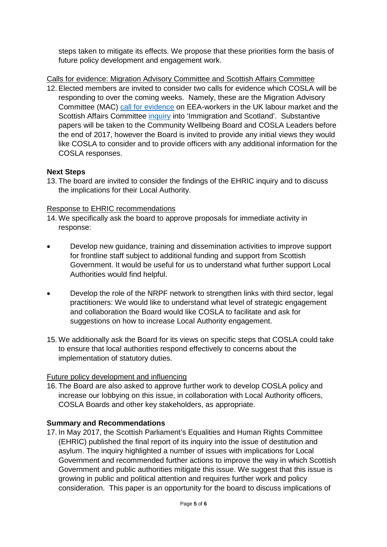steps taken to mitigate its effects. We propose that these priorities form the basis of future policy development and engagement work.

Calls for evidence: Migration Advisory Committee and Scottish Affairs Committee

12. Elected members are invited to consider two calls for evidence which COSLA will be responding to over the coming weeks. Namely, these are the Migration Advisory Committee (MAC) [call for evidence](https://www.gov.uk/government/consultations/call-for-evidence-and-briefing-note-eea-workers-in-the-uk-labour-market) on EEA-workers in the UK labour market and the Scottish Affairs Committee [inquiry](http://www.parliament.uk/business/committees/committees-a-z/commons-select/scottish-affairs-committee/inquiries/parliament-2017/immigration-scotland-17-19/) into 'Immigration and Scotland'. Substantive papers will be taken to the Community Wellbeing Board and COSLA Leaders before the end of 2017, however the Board is invited to provide any initial views they would like COSLA to consider and to provide officers with any additional information for the COSLA responses.

### **Next Steps**

13. The board are invited to consider the findings of the EHRIC inquiry and to discuss the implications for their Local Authority.

### Response to EHRIC recommendations

- 14. We specifically ask the board to approve proposals for immediate activity in response:
- Develop new guidance, training and dissemination activities to improve support for frontline staff subject to additional funding and support from Scottish Government. It would be useful for us to understand what further support Local Authorities would find helpful.
- Develop the role of the NRPF network to strengthen links with third sector, legal practitioners: We would like to understand what level of strategic engagement and collaboration the Board would like COSLA to facilitate and ask for suggestions on how to increase Local Authority engagement.
- 15. We additionally ask the Board for its views on specific steps that COSLA could take to ensure that local authorities respond effectively to concerns about the implementation of statutory duties.

# Future policy development and influencing

16. The Board are also asked to approve further work to develop COSLA policy and increase our lobbying on this issue, in collaboration with Local Authority officers, COSLA Boards and other key stakeholders, as appropriate.

# **Summary and Recommendations**

17. In May 2017, the Scottish Parliament's Equalities and Human Rights Committee (EHRIC) published the final report of its inquiry into the issue of destitution and asylum. The inquiry highlighted a number of issues with implications for Local Government and recommended further actions to improve the way in which Scottish Government and public authorities mitigate this issue. We suggest that this issue is growing in public and political attention and requires further work and policy consideration. This paper is an opportunity for the board to discuss implications of